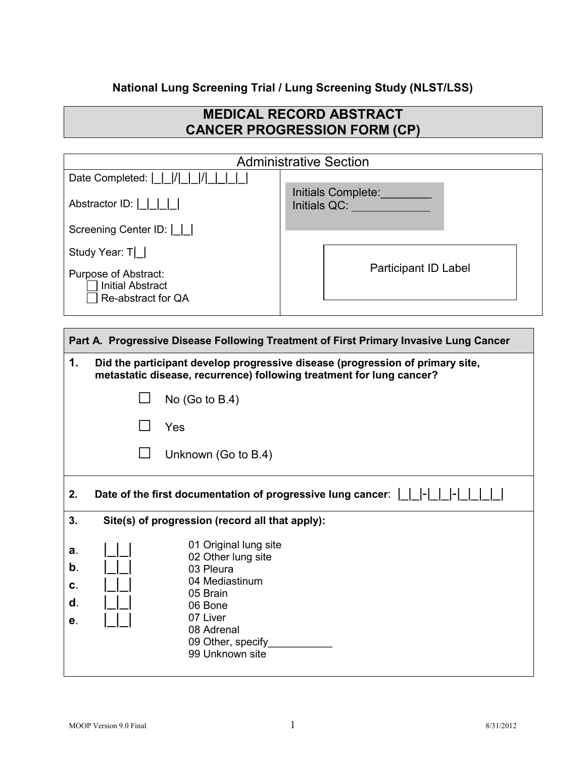## **National Lung Screening Trial / Lung Screening Study (NLST/LSS)**

## **MEDICAL RECORD ABSTRACT CANCER PROGRESSION FORM (CP)**

| <b>Administrative Section</b>                                                    |                                    |  |
|----------------------------------------------------------------------------------|------------------------------------|--|
| Date Completed: $\vert \vert \vert / \vert \vert / \vert$                        |                                    |  |
| Abstractor ID: $\lfloor \lfloor \lfloor \lfloor \rfloor \rfloor \rfloor \rfloor$ | Initials Complete:<br>Initials QC: |  |
| Screening Center ID:                                                             |                                    |  |
| Study Year: T                                                                    |                                    |  |
| Purpose of Abstract:<br><b>Initial Abstract</b><br>Re-abstract for QA            | <b>Participant ID Label</b>        |  |
|                                                                                  |                                    |  |

| Part A. Progressive Disease Following Treatment of First Primary Invasive Lung Cancer |                                                                                                                                                                     |  |  |
|---------------------------------------------------------------------------------------|---------------------------------------------------------------------------------------------------------------------------------------------------------------------|--|--|
| 1.                                                                                    | Did the participant develop progressive disease (progression of primary site,<br>metastatic disease, recurrence) following treatment for lung cancer?               |  |  |
|                                                                                       | No $(Go to B.4)$                                                                                                                                                    |  |  |
|                                                                                       | Yes                                                                                                                                                                 |  |  |
|                                                                                       | Unknown (Go to B.4)                                                                                                                                                 |  |  |
| 2.                                                                                    | Date of the first documentation of progressive lung cancer: $\begin{vmatrix} 1 & -1 \\ 1 & -1 \end{vmatrix}$                                                        |  |  |
| 3.                                                                                    | Site(s) of progression (record all that apply):                                                                                                                     |  |  |
| a.<br>b.<br>C.<br>d.<br>е.                                                            | 01 Original lung site<br>02 Other lung site<br>03 Pleura<br>04 Mediastinum<br>05 Brain<br>06 Bone<br>07 Liver<br>08 Adrenal<br>09 Other, specify<br>99 Unknown site |  |  |